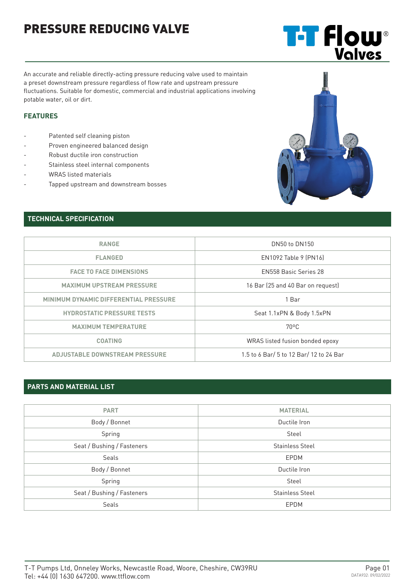# PRESSURE REDUCING VALVE

An accurate and reliable directly-acting pressure reducing valve used to maintain a preset downstream pressure regardless of flow rate and upstream pressure fluctuations. Suitable for domestic, commercial and industrial applications involving potable water, oil or dirt.

#### **FEATURES**

- Patented self cleaning piston
- Proven engineered balanced design
- Robust ductile iron construction
- Stainless steel internal components
- WRAS listed materials
- Tapped upstream and downstream bosses

### **TECHNICAL SPECIFICATION**

| DN50 to DN150                                                  |  |
|----------------------------------------------------------------|--|
| EN1092 Table 9 (PN16)                                          |  |
| FN558 Basic Series 28                                          |  |
| 16 Bar (25 and 40 Bar on request)                              |  |
| 1 Bar                                                          |  |
| <b>HYDROSTATIC PRESSURE TESTS</b><br>Seat 1.1xPN & Body 1.5xPN |  |
| $70^{\circ}$ C                                                 |  |
| WRAS listed fusion bonded epoxy                                |  |
| 1.5 to 6 Bar/ 5 to 12 Bar/ 12 to 24 Bar                        |  |
|                                                                |  |

### **PARTS AND MATERIAL LIST**

| <b>PART</b>                | <b>MATERIAL</b>        |  |  |
|----------------------------|------------------------|--|--|
|                            |                        |  |  |
| Body / Bonnet              | Ductile Iron           |  |  |
| Spring                     | Steel                  |  |  |
| Seat / Bushing / Fasteners | <b>Stainless Steel</b> |  |  |
| Seals                      | EPDM                   |  |  |
| Body / Bonnet              | Ductile Iron           |  |  |
| Spring                     | Steel                  |  |  |
| Seat / Bushing / Fasteners | <b>Stainless Steel</b> |  |  |
| <b>Seals</b>               | EPDM                   |  |  |